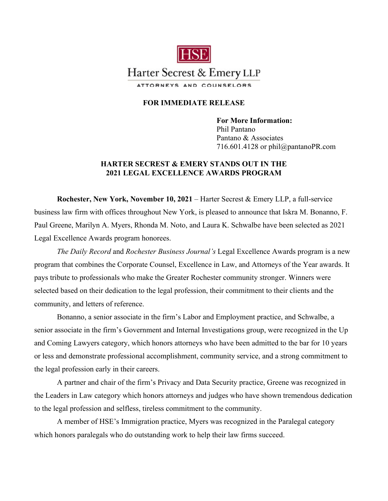

## **FOR IMMEDIATE RELEASE**

**For More Information:**  Phil Pantano Pantano & Associates 716.601.4128 or phil@pantanoPR.com

## **HARTER SECREST & EMERY STANDS OUT IN THE 2021 LEGAL EXCELLENCE AWARDS PROGRAM**

**Rochester, New York, November 10, 2021** – Harter Secrest & Emery LLP, a full-service business law firm with offices throughout New York, is pleased to announce that Iskra M. Bonanno, F. Paul Greene, Marilyn A. Myers, [Rhonda M. Noto,](https://www.hselaw.com/about/leadership#administrative-team) and Laura K. Schwalbe have been selected as 2021 Legal Excellence Awards program honorees.

*The Daily Record* and *Rochester Business Journal's* Legal Excellence Awards program is a new program that combines the Corporate Counsel, Excellence in Law, and Attorneys of the Year awards. It pays tribute to professionals who make the Greater Rochester community stronger. Winners were selected based on their dedication to the legal profession, their commitment to their clients and the community, and letters of reference.

Bonanno, a senior associate in the firm's Labor and Employment practice, and Schwalbe, a senior associate in the firm's Government and Internal Investigations group, were recognized in the Up and Coming Lawyers category, which honors attorneys who have been admitted to the bar for 10 years or less and demonstrate professional accomplishment, community service, and a strong commitment to the legal profession early in their careers.

A partner and chair of the firm's Privacy and Data Security practice, Greene was recognized in the Leaders in Law category which honors attorneys and judges who have shown tremendous dedication to the legal profession and selfless, tireless commitment to the community.

A member of HSE's Immigration practice, Myers was recognized in the Paralegal category which honors paralegals who do outstanding work to help their law firms succeed.